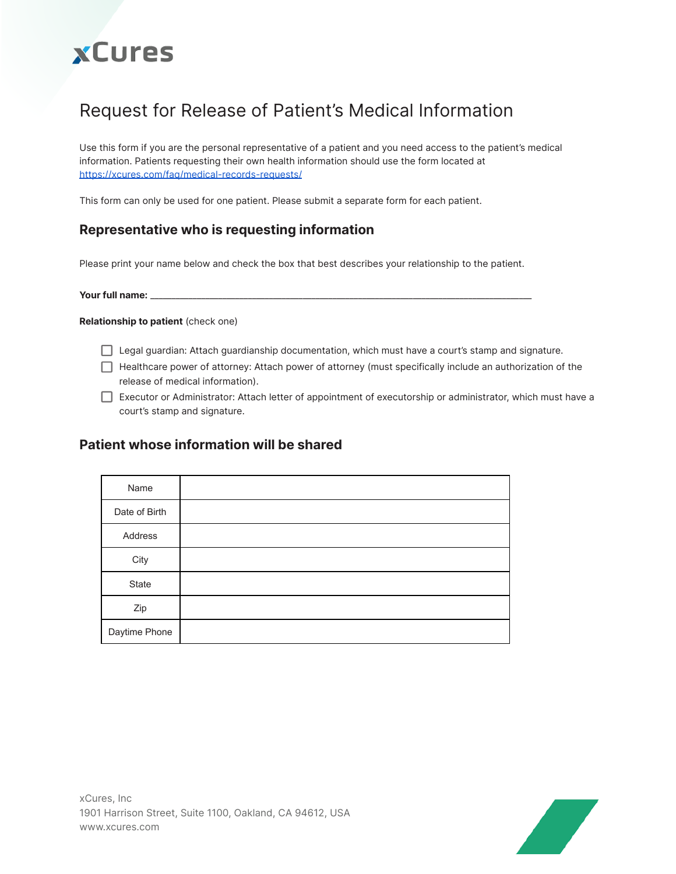# **xCures**

# Request for Release of Patient's Medical Information

Use this form if you are the personal representative of a patient and you need access to the patient's medical information. Patients requesting their own health information should use the form located at <https://xcures.com/faq/medical-records-requests/>

This form can only be used for one patient. Please submit a separate form for each patient.

### **Representative who is requesting information**

Please print your name below and check the box that best describes your relationship to the patient.

**Your full name:** \_\_\_\_\_\_\_\_\_\_\_\_\_\_\_\_\_\_\_\_\_\_\_\_\_\_\_\_\_\_\_\_\_\_\_\_\_\_\_\_\_\_\_\_\_\_\_\_\_\_\_\_\_\_\_\_\_\_\_\_\_\_\_\_\_\_\_\_\_\_\_\_\_\_\_\_\_\_\_\_\_\_\_\_\_\_\_\_\_\_

**Relationship to patient** (check one)

- □ Legal guardian: Attach guardianship documentation, which must have a court's stamp and signature.
- $\Box$  Healthcare power of attorney: Attach power of attorney (must specifically include an authorization of the release of medical information).

Executor or Administrator: Attach letter of appointment of executorship or administrator, which must have a court's stamp and signature.

#### **Patient whose information will be shared**

| Name          |  |
|---------------|--|
| Date of Birth |  |
| Address       |  |
| City          |  |
| State         |  |
| Zip           |  |
| Daytime Phone |  |